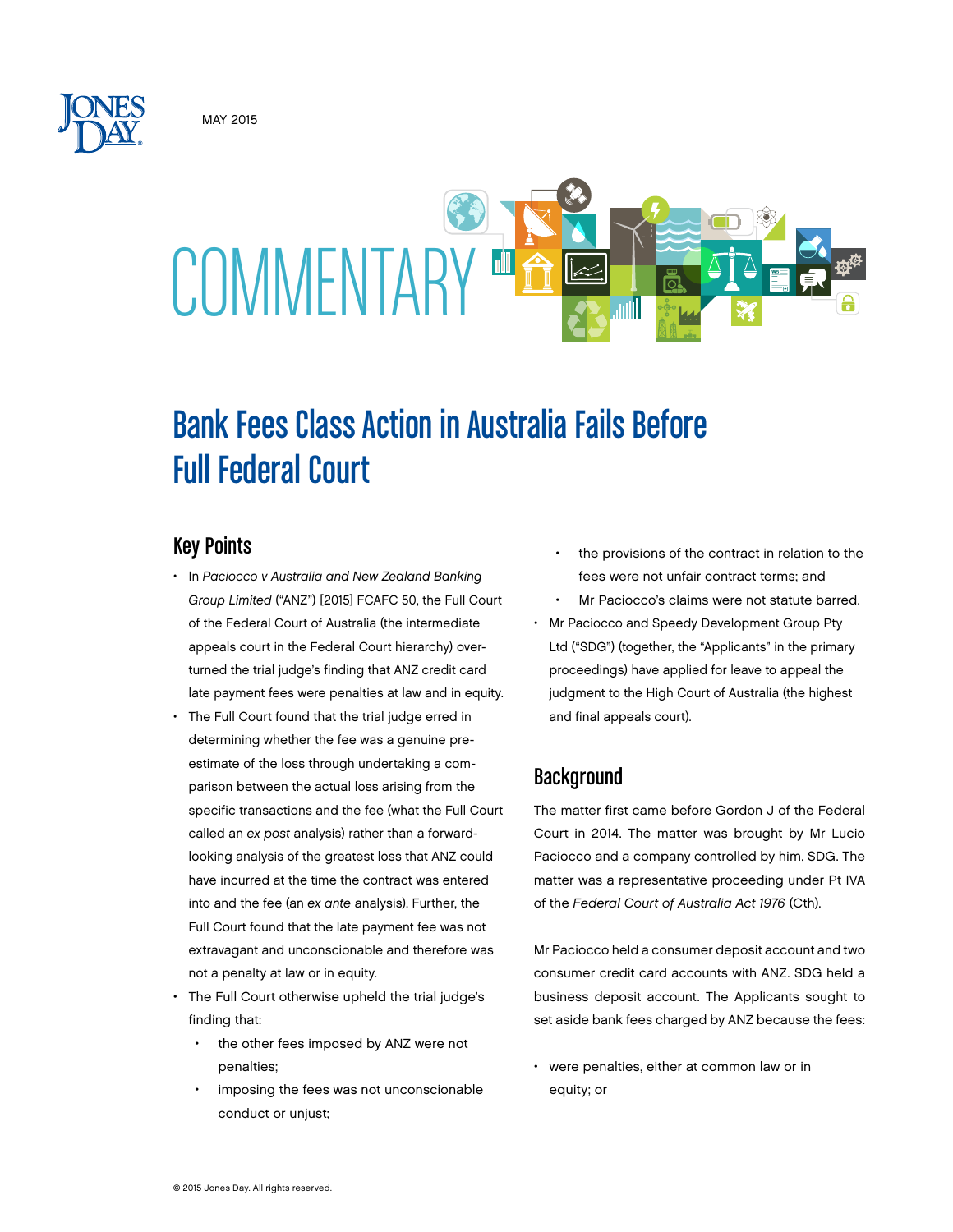MAY 2015



# Bank Fees Class Action in Australia Fails Before Full Federal Court

## Key Points

- In *Paciocco v Australia and New Zealand Banking Group Limited* ("ANZ") [2015] FCAFC 50, the Full Court of the Federal Court of Australia (the intermediate appeals court in the Federal Court hierarchy) overturned the trial judge's finding that ANZ credit card late payment fees were penalties at law and in equity.
- The Full Court found that the trial judge erred in determining whether the fee was a genuine preestimate of the loss through undertaking a comparison between the actual loss arising from the specific transactions and the fee (what the Full Court called an *ex post* analysis) rather than a forwardlooking analysis of the greatest loss that ANZ could have incurred at the time the contract was entered into and the fee (an *ex ante* analysis). Further, the Full Court found that the late payment fee was not extravagant and unconscionable and therefore was not a penalty at law or in equity.
- The Full Court otherwise upheld the trial judge's finding that:
	- the other fees imposed by ANZ were not penalties;
	- imposing the fees was not unconscionable conduct or unjust;
- the provisions of the contract in relation to the fees were not unfair contract terms; and
- Mr Paciocco's claims were not statute barred.
- Mr Paciocco and Speedy Development Group Pty Ltd ("SDG") (together, the "Applicants" in the primary proceedings) have applied for leave to appeal the judgment to the High Court of Australia (the highest and final appeals court).

# **Background**

The matter first came before Gordon J of the Federal Court in 2014. The matter was brought by Mr Lucio Paciocco and a company controlled by him, SDG. The matter was a representative proceeding under Pt IVA of the *Federal Court of Australia Act 1976* (Cth).

Mr Paciocco held a consumer deposit account and two consumer credit card accounts with ANZ. SDG held a business deposit account. The Applicants sought to set aside bank fees charged by ANZ because the fees:

• were penalties, either at common law or in equity; or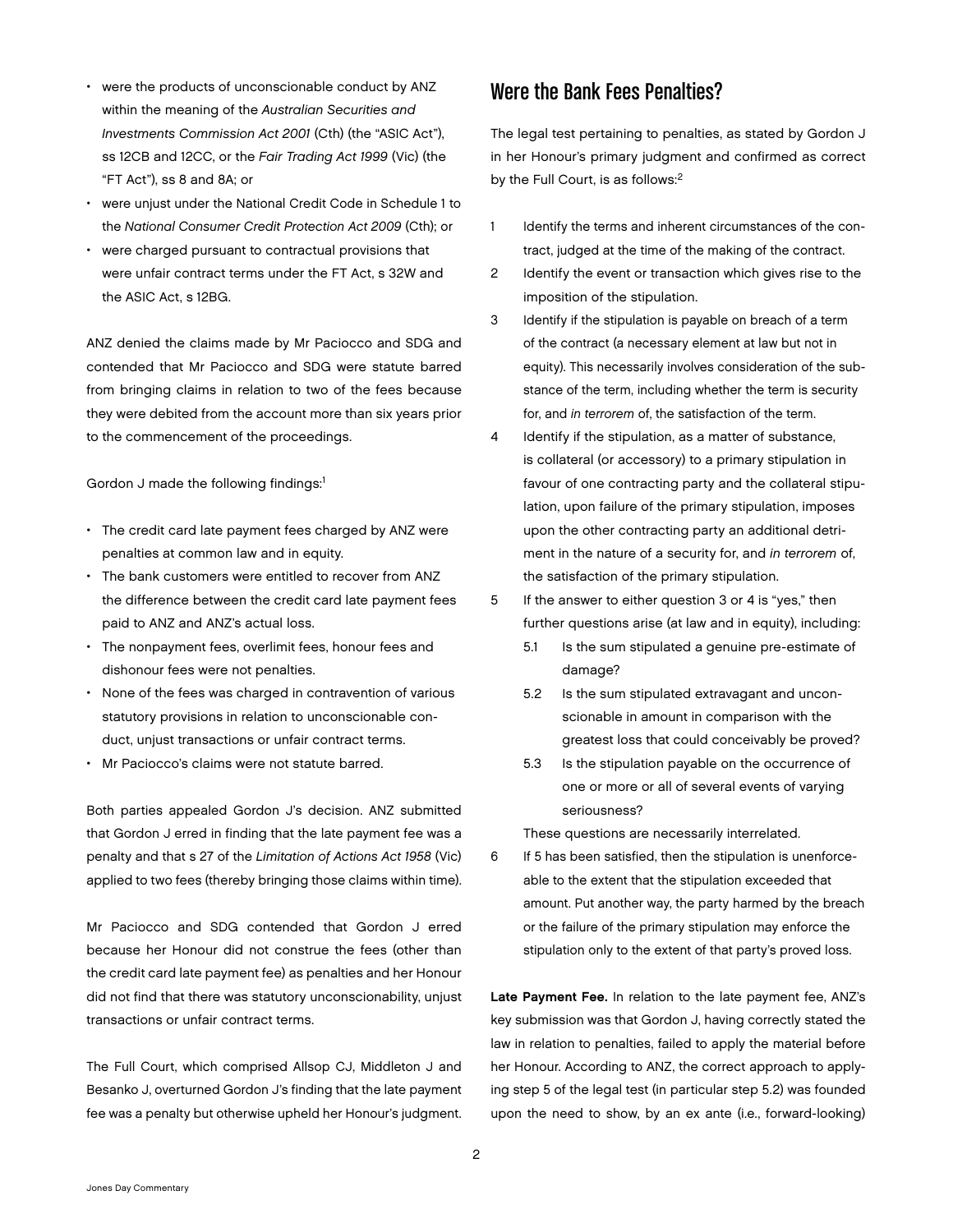- were the products of unconscionable conduct by ANZ within the meaning of the *Australian Securities and Investments Commission Act 2001* (Cth) (the "ASIC Act"), ss 12CB and 12CC, or the *Fair Trading Act 1999* (Vic) (the "FT Act"), ss 8 and 8A; or
- were unjust under the National Credit Code in Schedule 1 to the *National Consumer Credit Protection Act 2009* (Cth); or
- were charged pursuant to contractual provisions that were unfair contract terms under the FT Act, s 32W and the ASIC Act, s 12BG.

ANZ denied the claims made by Mr Paciocco and SDG and contended that Mr Paciocco and SDG were statute barred from bringing claims in relation to two of the fees because they were debited from the account more than six years prior to the commencement of the proceedings.

Gordon J made the following findings:<sup>1</sup>

- The credit card late payment fees charged by ANZ were penalties at common law and in equity.
- The bank customers were entitled to recover from ANZ the difference between the credit card late payment fees paid to ANZ and ANZ's actual loss.
- The nonpayment fees, overlimit fees, honour fees and dishonour fees were not penalties.
- None of the fees was charged in contravention of various statutory provisions in relation to unconscionable conduct, uniust transactions or unfair contract terms.
- Mr Paciocco's claims were not statute barred.

Both parties appealed Gordon J's decision. ANZ submitted that Gordon J erred in finding that the late payment fee was a penalty and that s 27 of the *Limitation of Actions Act 1958* (Vic) applied to two fees (thereby bringing those claims within time).

Mr Paciocco and SDG contended that Gordon J erred because her Honour did not construe the fees (other than the credit card late payment fee) as penalties and her Honour did not find that there was statutory unconscionability, unjust transactions or unfair contract terms.

The Full Court, which comprised Allsop CJ, Middleton J and Besanko J, overturned Gordon J's finding that the late payment fee was a penalty but otherwise upheld her Honour's judgment.

### Were the Bank Fees Penalties?

The legal test pertaining to penalties, as stated by Gordon J in her Honour's primary judgment and confirmed as correct by the Full Court, is as follows:<sup>2</sup>

- 1 Identify the terms and inherent circumstances of the contract, judged at the time of the making of the contract.
- 2 Identify the event or transaction which gives rise to the imposition of the stipulation.
- 3 Identify if the stipulation is payable on breach of a term of the contract (a necessary element at law but not in equity). This necessarily involves consideration of the substance of the term, including whether the term is security for, and *in terrorem* of, the satisfaction of the term.
- 4 Identify if the stipulation, as a matter of substance, is collateral (or accessory) to a primary stipulation in favour of one contracting party and the collateral stipulation, upon failure of the primary stipulation, imposes upon the other contracting party an additional detriment in the nature of a security for, and *in terrorem* of, the satisfaction of the primary stipulation.
- 5 If the answer to either question 3 or 4 is "yes," then further questions arise (at law and in equity), including:
	- 5.1 Is the sum stipulated a genuine pre-estimate of damage?
	- 5.2 Is the sum stipulated extravagant and unconscionable in amount in comparison with the greatest loss that could conceivably be proved?
	- 5.3 Is the stipulation payable on the occurrence of one or more or all of several events of varying seriousness?

These questions are necessarily interrelated.

6 If 5 has been satisfied, then the stipulation is unenforceable to the extent that the stipulation exceeded that amount. Put another way, the party harmed by the breach or the failure of the primary stipulation may enforce the stipulation only to the extent of that party's proved loss.

Late Payment Fee. In relation to the late payment fee, ANZ's key submission was that Gordon J, having correctly stated the law in relation to penalties, failed to apply the material before her Honour. According to ANZ, the correct approach to applying step 5 of the legal test (in particular step 5.2) was founded upon the need to show, by an ex ante (i.e., forward-looking)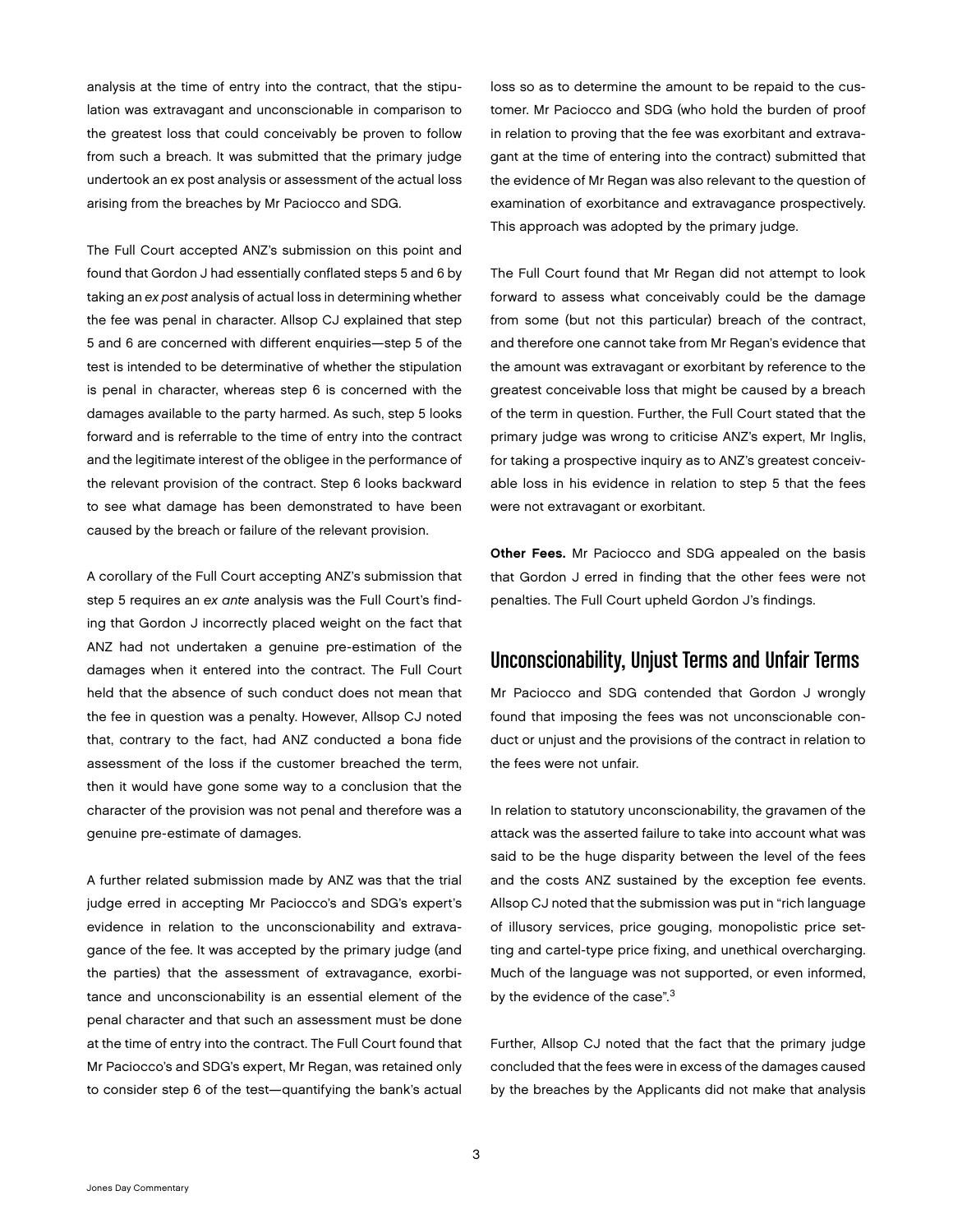analysis at the time of entry into the contract, that the stipulation was extravagant and unconscionable in comparison to the greatest loss that could conceivably be proven to follow from such a breach. It was submitted that the primary judge undertook an ex post analysis or assessment of the actual loss arising from the breaches by Mr Paciocco and SDG.

The Full Court accepted ANZ's submission on this point and found that Gordon J had essentially conflated steps 5 and 6 by taking an *ex post* analysis of actual loss in determining whether the fee was penal in character. Allsop CJ explained that step 5 and 6 are concerned with different enquiries—step 5 of the test is intended to be determinative of whether the stipulation is penal in character, whereas step 6 is concerned with the damages available to the party harmed. As such, step 5 looks forward and is referrable to the time of entry into the contract and the legitimate interest of the obligee in the performance of the relevant provision of the contract. Step 6 looks backward to see what damage has been demonstrated to have been caused by the breach or failure of the relevant provision.

A corollary of the Full Court accepting ANZ's submission that step 5 requires an *ex ante* analysis was the Full Court's finding that Gordon J incorrectly placed weight on the fact that ANZ had not undertaken a genuine pre-estimation of the damages when it entered into the contract. The Full Court held that the absence of such conduct does not mean that the fee in question was a penalty. However, Allsop CJ noted that, contrary to the fact, had ANZ conducted a bona fide assessment of the loss if the customer breached the term, then it would have gone some way to a conclusion that the character of the provision was not penal and therefore was a genuine pre-estimate of damages.

A further related submission made by ANZ was that the trial judge erred in accepting Mr Paciocco's and SDG's expert's evidence in relation to the unconscionability and extravagance of the fee. It was accepted by the primary judge (and the parties) that the assessment of extravagance, exorbitance and unconscionability is an essential element of the penal character and that such an assessment must be done at the time of entry into the contract. The Full Court found that Mr Paciocco's and SDG's expert, Mr Regan, was retained only to consider step 6 of the test—quantifying the bank's actual loss so as to determine the amount to be repaid to the customer. Mr Paciocco and SDG (who hold the burden of proof in relation to proving that the fee was exorbitant and extravagant at the time of entering into the contract) submitted that the evidence of Mr Regan was also relevant to the question of examination of exorbitance and extravagance prospectively. This approach was adopted by the primary judge.

The Full Court found that Mr Regan did not attempt to look forward to assess what conceivably could be the damage from some (but not this particular) breach of the contract, and therefore one cannot take from Mr Regan's evidence that the amount was extravagant or exorbitant by reference to the greatest conceivable loss that might be caused by a breach of the term in question. Further, the Full Court stated that the primary judge was wrong to criticise ANZ's expert, Mr Inglis, for taking a prospective inquiry as to ANZ's greatest conceivable loss in his evidence in relation to step 5 that the fees were not extravagant or exorbitant.

Other Fees. Mr Paciocco and SDG appealed on the basis that Gordon J erred in finding that the other fees were not penalties. The Full Court upheld Gordon J's findings.

### Unconscionability, Unjust Terms and Unfair Terms

Mr Paciocco and SDG contended that Gordon J wrongly found that imposing the fees was not unconscionable conduct or unjust and the provisions of the contract in relation to the fees were not unfair.

In relation to statutory unconscionability, the gravamen of the attack was the asserted failure to take into account what was said to be the huge disparity between the level of the fees and the costs ANZ sustained by the exception fee events. Allsop CJ noted that the submission was put in "rich language of illusory services, price gouging, monopolistic price setting and cartel-type price fixing, and unethical overcharging. Much of the language was not supported, or even informed, by the evidence of the case".<sup>3</sup>

Further, Allsop CJ noted that the fact that the primary judge concluded that the fees were in excess of the damages caused by the breaches by the Applicants did not make that analysis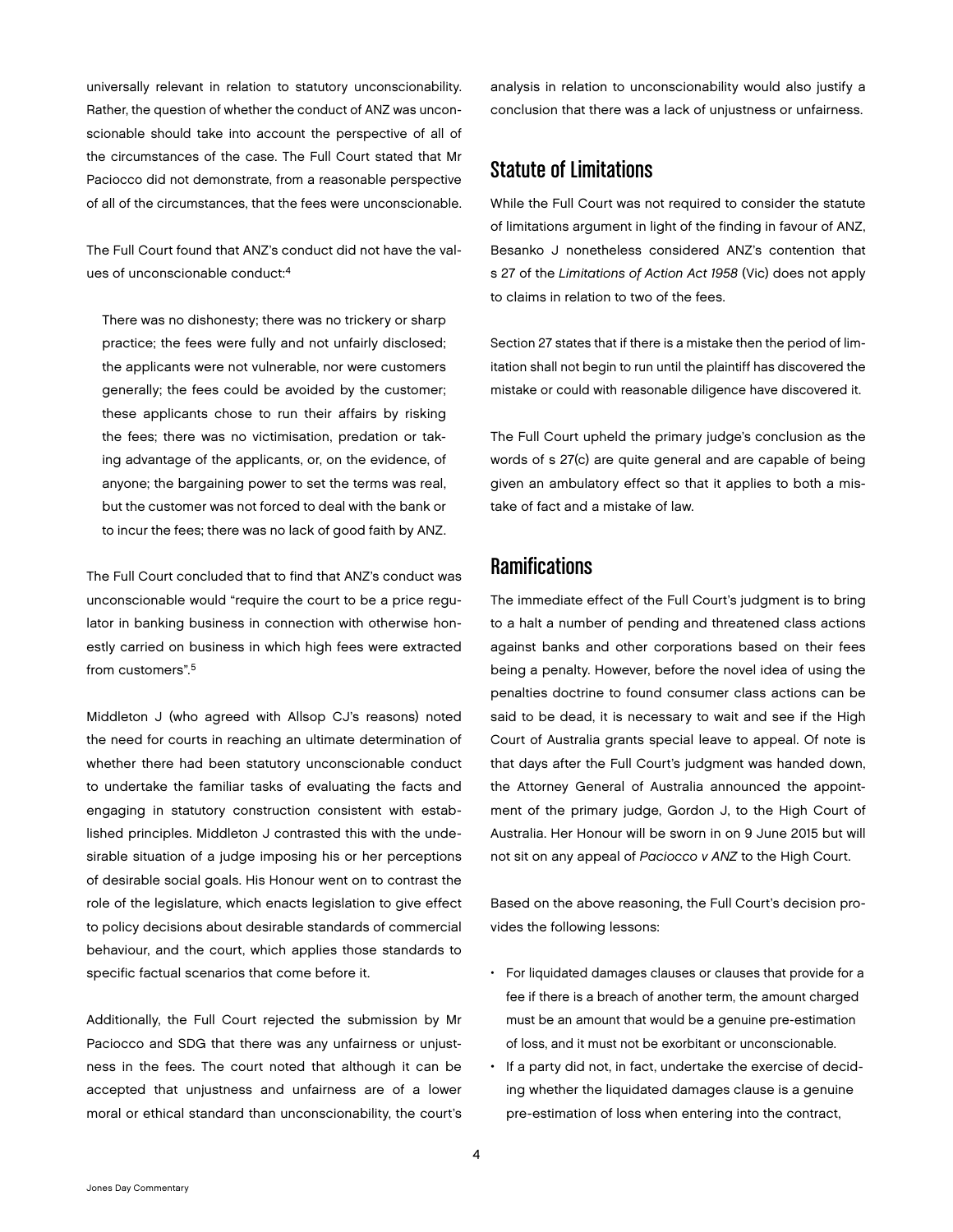universally relevant in relation to statutory unconscionability. Rather, the question of whether the conduct of ANZ was unconscionable should take into account the perspective of all of the circumstances of the case. The Full Court stated that Mr Paciocco did not demonstrate, from a reasonable perspective of all of the circumstances, that the fees were unconscionable.

The Full Court found that ANZ's conduct did not have the values of unconscionable conduct:4

There was no dishonesty; there was no trickery or sharp practice; the fees were fully and not unfairly disclosed; the applicants were not vulnerable, nor were customers generally; the fees could be avoided by the customer; these applicants chose to run their affairs by risking the fees; there was no victimisation, predation or taking advantage of the applicants, or, on the evidence, of anyone; the bargaining power to set the terms was real, but the customer was not forced to deal with the bank or to incur the fees; there was no lack of good faith by ANZ.

The Full Court concluded that to find that ANZ's conduct was unconscionable would "require the court to be a price regulator in banking business in connection with otherwise honestly carried on business in which high fees were extracted from customers".5

Middleton J (who agreed with Allsop CJ's reasons) noted the need for courts in reaching an ultimate determination of whether there had been statutory unconscionable conduct to undertake the familiar tasks of evaluating the facts and engaging in statutory construction consistent with established principles. Middleton J contrasted this with the undesirable situation of a judge imposing his or her perceptions of desirable social goals. His Honour went on to contrast the role of the legislature, which enacts legislation to give effect to policy decisions about desirable standards of commercial behaviour, and the court, which applies those standards to specific factual scenarios that come before it.

Additionally, the Full Court rejected the submission by Mr Paciocco and SDG that there was any unfairness or unjustness in the fees. The court noted that although it can be accepted that unjustness and unfairness are of a lower moral or ethical standard than unconscionability, the court's

analysis in relation to unconscionability would also justify a conclusion that there was a lack of unjustness or unfairness.

#### Statute of Limitations

While the Full Court was not required to consider the statute of limitations argument in light of the finding in favour of ANZ, Besanko J nonetheless considered ANZ's contention that s 27 of the *Limitations of Action Act 1958* (Vic) does not apply to claims in relation to two of the fees.

Section 27 states that if there is a mistake then the period of limitation shall not begin to run until the plaintiff has discovered the mistake or could with reasonable diligence have discovered it.

The Full Court upheld the primary judge's conclusion as the words of s 27(c) are quite general and are capable of being given an ambulatory effect so that it applies to both a mistake of fact and a mistake of law.

## **Ramifications**

The immediate effect of the Full Court's judgment is to bring to a halt a number of pending and threatened class actions against banks and other corporations based on their fees being a penalty. However, before the novel idea of using the penalties doctrine to found consumer class actions can be said to be dead, it is necessary to wait and see if the High Court of Australia grants special leave to appeal. Of note is that days after the Full Court's judgment was handed down, the Attorney General of Australia announced the appointment of the primary judge, Gordon J, to the High Court of Australia. Her Honour will be sworn in on 9 June 2015 but will not sit on any appeal of *Paciocco v ANZ* to the High Court.

Based on the above reasoning, the Full Court's decision provides the following lessons:

- For liquidated damages clauses or clauses that provide for a fee if there is a breach of another term, the amount charged must be an amount that would be a genuine pre-estimation of loss, and it must not be exorbitant or unconscionable.
- If a party did not, in fact, undertake the exercise of deciding whether the liquidated damages clause is a genuine pre-estimation of loss when entering into the contract,